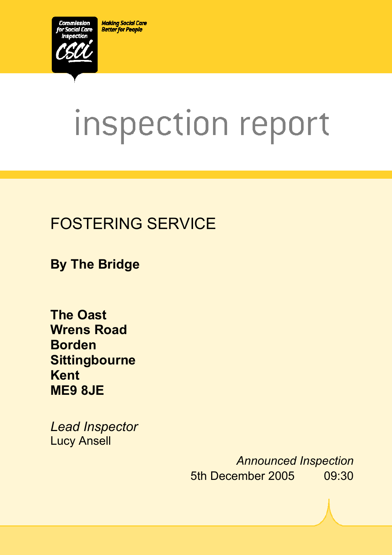**Making Social Care Better for People** 



# inspection report

 $X_1$ 10029.doc Version 1.40 Page 1.40 Page 1.40 Page 1.40 Page 1.40 Page 1.40 Page 1.40 Page 1.40 Page 1.40 Page 1.40 Page 1.40 Page 1.40 Page 1.40 Page 1.40 Page 1.40 Page 1.40 Page 1.40 Page 1.40 Page 1.40 Page 1.40 Pag

# FOSTERING SERVICE

**By The Bridge** 

**The Oast Wrens Road Borden Sittingbourne Kent ME9 8JE** 

*Lead Inspector*  Lucy Ansell

> *Announced Inspection* 5th December 2005 09:30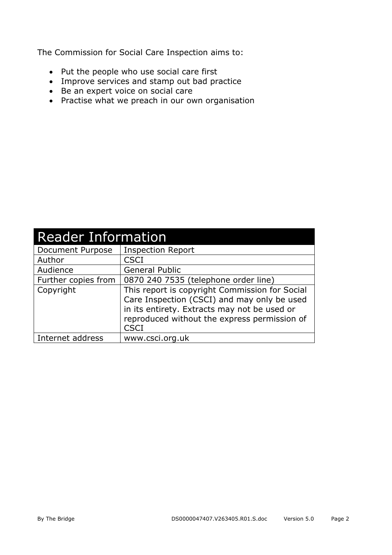The Commission for Social Care Inspection aims to:

- Put the people who use social care first
- Improve services and stamp out bad practice
- Be an expert voice on social care
- Practise what we preach in our own organisation

| <b>Reader Information</b> |                                                                                                                                                                                                              |  |  |
|---------------------------|--------------------------------------------------------------------------------------------------------------------------------------------------------------------------------------------------------------|--|--|
| Document Purpose          | <b>Inspection Report</b>                                                                                                                                                                                     |  |  |
| Author                    | <b>CSCI</b>                                                                                                                                                                                                  |  |  |
| Audience                  | <b>General Public</b>                                                                                                                                                                                        |  |  |
| Further copies from       | 0870 240 7535 (telephone order line)                                                                                                                                                                         |  |  |
| Copyright                 | This report is copyright Commission for Social<br>Care Inspection (CSCI) and may only be used<br>in its entirety. Extracts may not be used or<br>reproduced without the express permission of<br><b>CSCI</b> |  |  |
| Internet address          | www.csci.org.uk                                                                                                                                                                                              |  |  |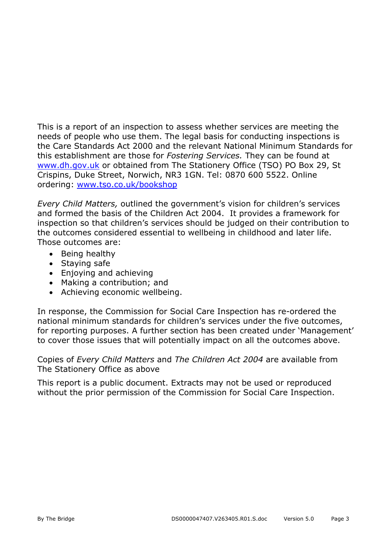This is a report of an inspection to assess whether services are meeting the needs of people who use them. The legal basis for conducting inspections is the Care Standards Act 2000 and the relevant National Minimum Standards for this establishment are those for *Fostering Services.* They can be found at www.dh.gov.uk or obtained from The Stationery Office (TSO) PO Box 29, St Crispins, Duke Street, Norwich, NR3 1GN. Tel: 0870 600 5522. Online ordering: www.tso.co.uk/bookshop

*Every Child Matters,* outlined the government's vision for children's services and formed the basis of the Children Act 2004. It provides a framework for inspection so that children's services should be judged on their contribution to the outcomes considered essential to wellbeing in childhood and later life. Those outcomes are:

- Being healthy
- Staying safe
- Enjoying and achieving
- Making a contribution; and
- Achieving economic wellbeing.

In response, the Commission for Social Care Inspection has re-ordered the national minimum standards for children's services under the five outcomes, for reporting purposes. A further section has been created under 'Management' to cover those issues that will potentially impact on all the outcomes above.

Copies of *Every Child Matters* and *The Children Act 2004* are available from The Stationery Office as above

This report is a public document. Extracts may not be used or reproduced without the prior permission of the Commission for Social Care Inspection.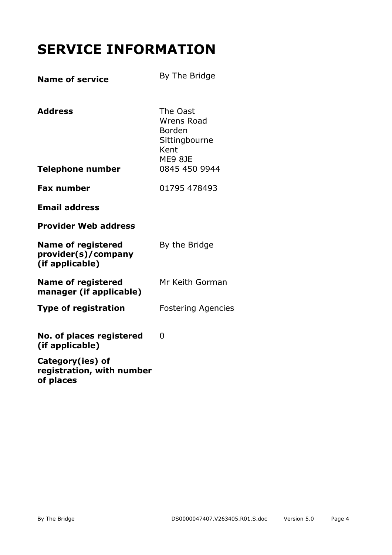# **SERVICE INFORMATION**

| <b>Name of service</b>                                              | By The Bridge                                                                                |
|---------------------------------------------------------------------|----------------------------------------------------------------------------------------------|
| <b>Address</b><br><b>Telephone number</b>                           | The Oast<br><b>Wrens Road</b><br>Borden<br>Sittingbourne<br>Kent<br>ME9 8JE<br>0845 450 9944 |
|                                                                     |                                                                                              |
| <b>Fax number</b>                                                   | 01795 478493                                                                                 |
| <b>Email address</b>                                                |                                                                                              |
| <b>Provider Web address</b>                                         |                                                                                              |
| <b>Name of registered</b><br>provider(s)/company<br>(if applicable) | By the Bridge                                                                                |
| <b>Name of registered</b><br>manager (if applicable)                | Mr Keith Gorman                                                                              |
| <b>Type of registration</b>                                         | <b>Fostering Agencies</b>                                                                    |
| No. of places registered<br>(if applicable)                         | 0                                                                                            |
| Category(ies) of<br>registration, with number<br>of places          |                                                                                              |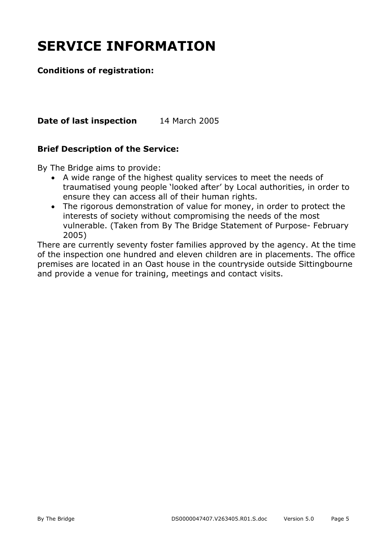# **SERVICE INFORMATION**

#### **Conditions of registration:**

**Date of last inspection** 14 March 2005

#### **Brief Description of the Service:**

By The Bridge aims to provide:

- A wide range of the highest quality services to meet the needs of traumatised young people 'looked after' by Local authorities, in order to ensure they can access all of their human rights.
- The rigorous demonstration of value for money, in order to protect the interests of society without compromising the needs of the most vulnerable. (Taken from By The Bridge Statement of Purpose- February 2005)

There are currently seventy foster families approved by the agency. At the time of the inspection one hundred and eleven children are in placements. The office premises are located in an Oast house in the countryside outside Sittingbourne and provide a venue for training, meetings and contact visits.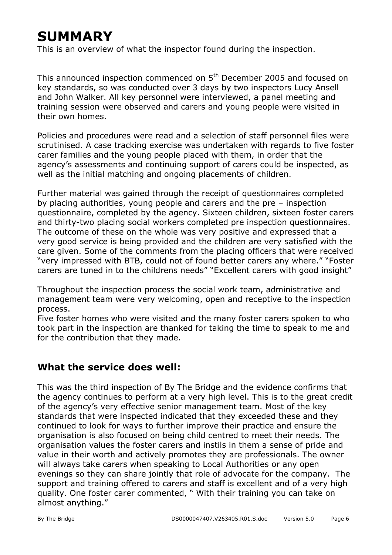# **SUMMARY**

This is an overview of what the inspector found during the inspection.

This announced inspection commenced on 5<sup>th</sup> December 2005 and focused on key standards, so was conducted over 3 days by two inspectors Lucy Ansell and John Walker. All key personnel were interviewed, a panel meeting and training session were observed and carers and young people were visited in their own homes.

Policies and procedures were read and a selection of staff personnel files were scrutinised. A case tracking exercise was undertaken with regards to five foster carer families and the young people placed with them, in order that the agency's assessments and continuing support of carers could be inspected, as well as the initial matching and ongoing placements of children.

Further material was gained through the receipt of questionnaires completed by placing authorities, young people and carers and the pre – inspection questionnaire, completed by the agency. Sixteen children, sixteen foster carers and thirty-two placing social workers completed pre inspection questionnaires. The outcome of these on the whole was very positive and expressed that a very good service is being provided and the children are very satisfied with the care given. Some of the comments from the placing officers that were received "very impressed with BTB, could not of found better carers any where." "Foster carers are tuned in to the childrens needs" "Excellent carers with good insight"

Throughout the inspection process the social work team, administrative and management team were very welcoming, open and receptive to the inspection process.

Five foster homes who were visited and the many foster carers spoken to who took part in the inspection are thanked for taking the time to speak to me and for the contribution that they made.

#### **What the service does well:**

This was the third inspection of By The Bridge and the evidence confirms that the agency continues to perform at a very high level. This is to the great credit of the agency's very effective senior management team. Most of the key standards that were inspected indicated that they exceeded these and they continued to look for ways to further improve their practice and ensure the organisation is also focused on being child centred to meet their needs. The organisation values the foster carers and instils in them a sense of pride and value in their worth and actively promotes they are professionals. The owner will always take carers when speaking to Local Authorities or any open evenings so they can share jointly that role of advocate for the company. The support and training offered to carers and staff is excellent and of a very high quality. One foster carer commented, " With their training you can take on almost anything."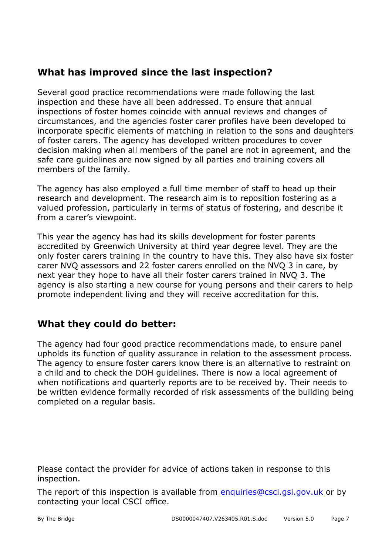#### **What has improved since the last inspection?**

Several good practice recommendations were made following the last inspection and these have all been addressed. To ensure that annual inspections of foster homes coincide with annual reviews and changes of circumstances, and the agencies foster carer profiles have been developed to incorporate specific elements of matching in relation to the sons and daughters of foster carers. The agency has developed written procedures to cover decision making when all members of the panel are not in agreement, and the safe care guidelines are now signed by all parties and training covers all members of the family.

The agency has also employed a full time member of staff to head up their research and development. The research aim is to reposition fostering as a valued profession, particularly in terms of status of fostering, and describe it from a carer's viewpoint.

This year the agency has had its skills development for foster parents accredited by Greenwich University at third year degree level. They are the only foster carers training in the country to have this. They also have six foster carer NVQ assessors and 22 foster carers enrolled on the NVQ 3 in care, by next year they hope to have all their foster carers trained in NVQ 3. The agency is also starting a new course for young persons and their carers to help promote independent living and they will receive accreditation for this.

#### **What they could do better:**

The agency had four good practice recommendations made, to ensure panel upholds its function of quality assurance in relation to the assessment process. The agency to ensure foster carers know there is an alternative to restraint on a child and to check the DOH guidelines. There is now a local agreement of when notifications and quarterly reports are to be received by. Their needs to be written evidence formally recorded of risk assessments of the building being completed on a regular basis.

Please contact the provider for advice of actions taken in response to this inspection.

The report of this inspection is available from enquiries@csci.gsi.gov.uk or by contacting your local CSCI office.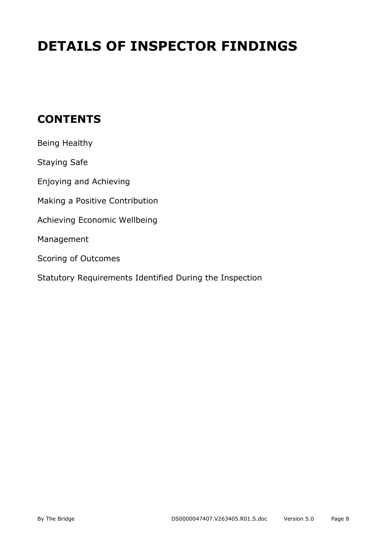# **DETAILS OF INSPECTOR FINDINGS**

## **CONTENTS**

| Being Healthy                                           |
|---------------------------------------------------------|
| <b>Staying Safe</b>                                     |
| Enjoying and Achieving                                  |
| Making a Positive Contribution                          |
| Achieving Economic Wellbeing                            |
| Management                                              |
| Scoring of Outcomes                                     |
| Statutory Requirements Identified During the Inspection |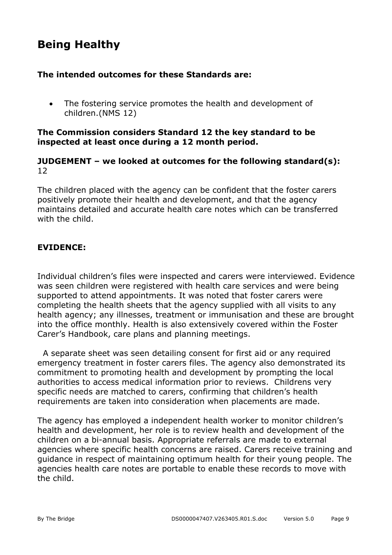## **Being Healthy**

#### **The intended outcomes for these Standards are:**

• The fostering service promotes the health and development of children.(NMS 12)

#### **The Commission considers Standard 12 the key standard to be inspected at least once during a 12 month period.**

#### **JUDGEMENT – we looked at outcomes for the following standard(s):** 12

The children placed with the agency can be confident that the foster carers positively promote their health and development, and that the agency maintains detailed and accurate health care notes which can be transferred with the child.

#### **EVIDENCE:**

Individual children's files were inspected and carers were interviewed. Evidence was seen children were registered with health care services and were being supported to attend appointments. It was noted that foster carers were completing the health sheets that the agency supplied with all visits to any health agency; any illnesses, treatment or immunisation and these are brought into the office monthly. Health is also extensively covered within the Foster Carer's Handbook, care plans and planning meetings.

 A separate sheet was seen detailing consent for first aid or any required emergency treatment in foster carers files. The agency also demonstrated its commitment to promoting health and development by prompting the local authorities to access medical information prior to reviews. Childrens very specific needs are matched to carers, confirming that children's health requirements are taken into consideration when placements are made.

The agency has employed a independent health worker to monitor children's health and development, her role is to review health and development of the children on a bi-annual basis. Appropriate referrals are made to external agencies where specific health concerns are raised. Carers receive training and guidance in respect of maintaining optimum health for their young people. The agencies health care notes are portable to enable these records to move with the child.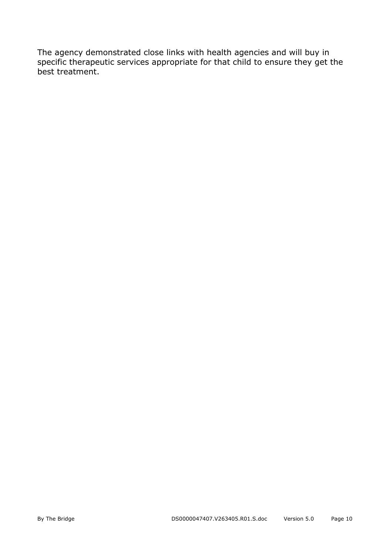The agency demonstrated close links with health agencies and will buy in specific therapeutic services appropriate for that child to ensure they get the best treatment.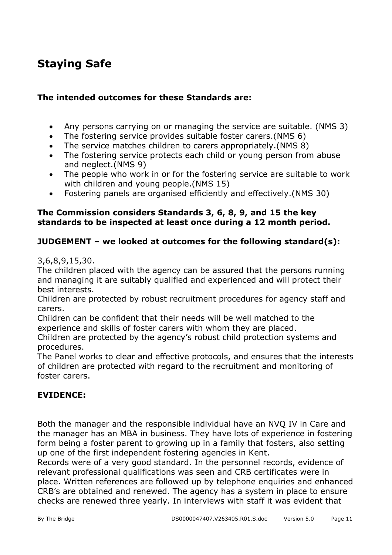## **Staying Safe**

#### **The intended outcomes for these Standards are:**

- Any persons carrying on or managing the service are suitable. (NMS 3)
- The fostering service provides suitable foster carers.(NMS 6)
- The service matches children to carers appropriately.(NMS 8)
- The fostering service protects each child or young person from abuse and neglect.(NMS 9)
- The people who work in or for the fostering service are suitable to work with children and young people.(NMS 15)
- Fostering panels are organised efficiently and effectively.(NMS 30)

#### **The Commission considers Standards 3, 6, 8, 9, and 15 the key standards to be inspected at least once during a 12 month period.**

#### **JUDGEMENT – we looked at outcomes for the following standard(s):**

3,6,8,9,15,30.

The children placed with the agency can be assured that the persons running and managing it are suitably qualified and experienced and will protect their best interests.

Children are protected by robust recruitment procedures for agency staff and carers.

Children can be confident that their needs will be well matched to the experience and skills of foster carers with whom they are placed.

Children are protected by the agency's robust child protection systems and procedures.

The Panel works to clear and effective protocols, and ensures that the interests of children are protected with regard to the recruitment and monitoring of foster carers.

#### **EVIDENCE:**

Both the manager and the responsible individual have an NVQ IV in Care and the manager has an MBA in business. They have lots of experience in fostering form being a foster parent to growing up in a family that fosters, also setting up one of the first independent fostering agencies in Kent.

Records were of a very good standard. In the personnel records, evidence of relevant professional qualifications was seen and CRB certificates were in place. Written references are followed up by telephone enquiries and enhanced CRB's are obtained and renewed. The agency has a system in place to ensure checks are renewed three yearly. In interviews with staff it was evident that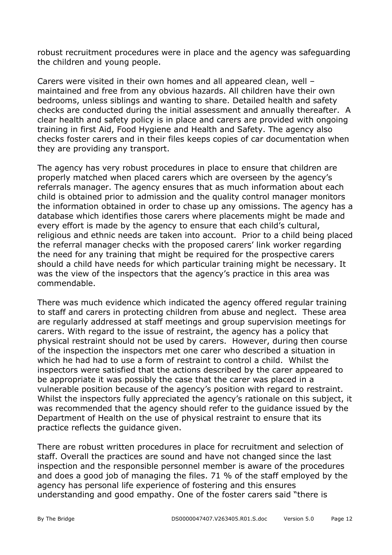robust recruitment procedures were in place and the agency was safeguarding the children and young people.

Carers were visited in their own homes and all appeared clean, well – maintained and free from any obvious hazards. All children have their own bedrooms, unless siblings and wanting to share. Detailed health and safety checks are conducted during the initial assessment and annually thereafter. A clear health and safety policy is in place and carers are provided with ongoing training in first Aid, Food Hygiene and Health and Safety. The agency also checks foster carers and in their files keeps copies of car documentation when they are providing any transport.

The agency has very robust procedures in place to ensure that children are properly matched when placed carers which are overseen by the agency's referrals manager. The agency ensures that as much information about each child is obtained prior to admission and the quality control manager monitors the information obtained in order to chase up any omissions. The agency has a database which identifies those carers where placements might be made and every effort is made by the agency to ensure that each child's cultural, religious and ethnic needs are taken into account. Prior to a child being placed the referral manager checks with the proposed carers' link worker regarding the need for any training that might be required for the prospective carers should a child have needs for which particular training might be necessary. It was the view of the inspectors that the agency's practice in this area was commendable.

There was much evidence which indicated the agency offered regular training to staff and carers in protecting children from abuse and neglect. These area are regularly addressed at staff meetings and group supervision meetings for carers. With regard to the issue of restraint, the agency has a policy that physical restraint should not be used by carers. However, during then course of the inspection the inspectors met one carer who described a situation in which he had had to use a form of restraint to control a child. Whilst the inspectors were satisfied that the actions described by the carer appeared to be appropriate it was possibly the case that the carer was placed in a vulnerable position because of the agency's position with regard to restraint. Whilst the inspectors fully appreciated the agency's rationale on this subject, it was recommended that the agency should refer to the guidance issued by the Department of Health on the use of physical restraint to ensure that its practice reflects the guidance given.

There are robust written procedures in place for recruitment and selection of staff. Overall the practices are sound and have not changed since the last inspection and the responsible personnel member is aware of the procedures and does a good job of managing the files. 71 % of the staff employed by the agency has personal life experience of fostering and this ensures understanding and good empathy. One of the foster carers said "there is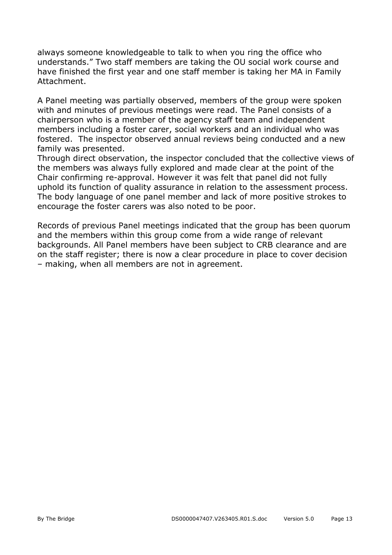always someone knowledgeable to talk to when you ring the office who understands." Two staff members are taking the OU social work course and have finished the first year and one staff member is taking her MA in Family Attachment.

A Panel meeting was partially observed, members of the group were spoken with and minutes of previous meetings were read. The Panel consists of a chairperson who is a member of the agency staff team and independent members including a foster carer, social workers and an individual who was fostered. The inspector observed annual reviews being conducted and a new family was presented.

Through direct observation, the inspector concluded that the collective views of the members was always fully explored and made clear at the point of the Chair confirming re-approval. However it was felt that panel did not fully uphold its function of quality assurance in relation to the assessment process. The body language of one panel member and lack of more positive strokes to encourage the foster carers was also noted to be poor.

Records of previous Panel meetings indicated that the group has been quorum and the members within this group come from a wide range of relevant backgrounds. All Panel members have been subject to CRB clearance and are on the staff register; there is now a clear procedure in place to cover decision – making, when all members are not in agreement.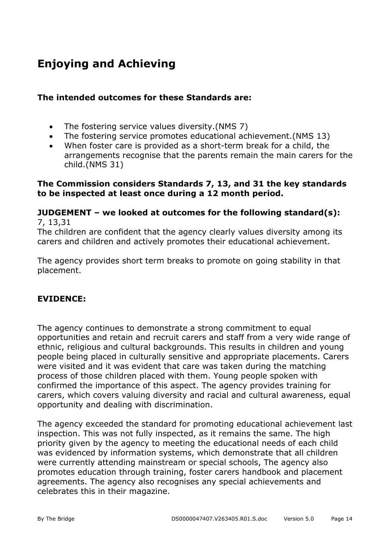# **Enjoying and Achieving**

#### **The intended outcomes for these Standards are:**

- The fostering service values diversity.(NMS 7)
- The fostering service promotes educational achievement.(NMS 13)
- When foster care is provided as a short-term break for a child, the arrangements recognise that the parents remain the main carers for the child.(NMS 31)

#### **The Commission considers Standards 7, 13, and 31 the key standards to be inspected at least once during a 12 month period.**

#### **JUDGEMENT – we looked at outcomes for the following standard(s):** 7, 13,31

The children are confident that the agency clearly values diversity among its carers and children and actively promotes their educational achievement.

The agency provides short term breaks to promote on going stability in that placement.

#### **EVIDENCE:**

The agency continues to demonstrate a strong commitment to equal opportunities and retain and recruit carers and staff from a very wide range of ethnic, religious and cultural backgrounds. This results in children and young people being placed in culturally sensitive and appropriate placements. Carers were visited and it was evident that care was taken during the matching process of those children placed with them. Young people spoken with confirmed the importance of this aspect. The agency provides training for carers, which covers valuing diversity and racial and cultural awareness, equal opportunity and dealing with discrimination.

The agency exceeded the standard for promoting educational achievement last inspection. This was not fully inspected, as it remains the same. The high priority given by the agency to meeting the educational needs of each child was evidenced by information systems, which demonstrate that all children were currently attending mainstream or special schools, The agency also promotes education through training, foster carers handbook and placement agreements. The agency also recognises any special achievements and celebrates this in their magazine.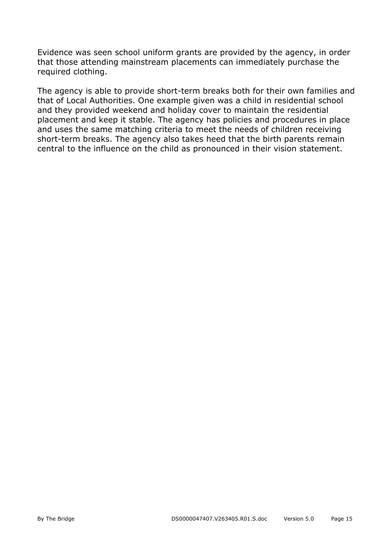Evidence was seen school uniform grants are provided by the agency, in order that those attending mainstream placements can immediately purchase the required clothing.

The agency is able to provide short-term breaks both for their own families and that of Local Authorities. One example given was a child in residential school and they provided weekend and holiday cover to maintain the residential placement and keep it stable. The agency has policies and procedures in place and uses the same matching criteria to meet the needs of children receiving short-term breaks. The agency also takes heed that the birth parents remain central to the influence on the child as pronounced in their vision statement.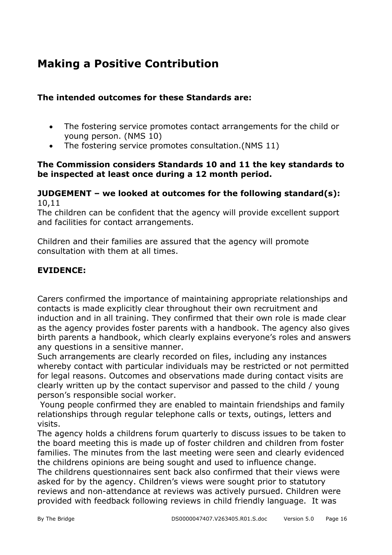## **Making a Positive Contribution**

#### **The intended outcomes for these Standards are:**

- The fostering service promotes contact arrangements for the child or young person. (NMS 10)
- The fostering service promotes consultation.(NMS 11)

#### **The Commission considers Standards 10 and 11 the key standards to be inspected at least once during a 12 month period.**

#### **JUDGEMENT – we looked at outcomes for the following standard(s):**  10,11

The children can be confident that the agency will provide excellent support and facilities for contact arrangements.

Children and their families are assured that the agency will promote consultation with them at all times.

#### **EVIDENCE:**

Carers confirmed the importance of maintaining appropriate relationships and contacts is made explicitly clear throughout their own recruitment and induction and in all training. They confirmed that their own role is made clear as the agency provides foster parents with a handbook. The agency also gives birth parents a handbook, which clearly explains everyone's roles and answers any questions in a sensitive manner.

Such arrangements are clearly recorded on files, including any instances whereby contact with particular individuals may be restricted or not permitted for legal reasons. Outcomes and observations made during contact visits are clearly written up by the contact supervisor and passed to the child / young person's responsible social worker.

 Young people confirmed they are enabled to maintain friendships and family relationships through regular telephone calls or texts, outings, letters and visits.

The agency holds a childrens forum quarterly to discuss issues to be taken to the board meeting this is made up of foster children and children from foster families. The minutes from the last meeting were seen and clearly evidenced the childrens opinions are being sought and used to influence change.

The childrens questionnaires sent back also confirmed that their views were asked for by the agency. Children's views were sought prior to statutory reviews and non-attendance at reviews was actively pursued. Children were provided with feedback following reviews in child friendly language. It was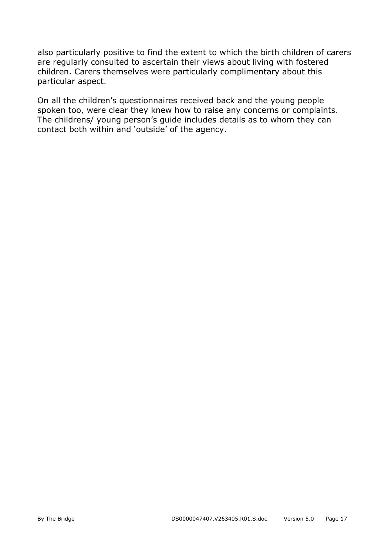also particularly positive to find the extent to which the birth children of carers are regularly consulted to ascertain their views about living with fostered children. Carers themselves were particularly complimentary about this particular aspect.

On all the children's questionnaires received back and the young people spoken too, were clear they knew how to raise any concerns or complaints. The childrens/ young person's guide includes details as to whom they can contact both within and 'outside' of the agency.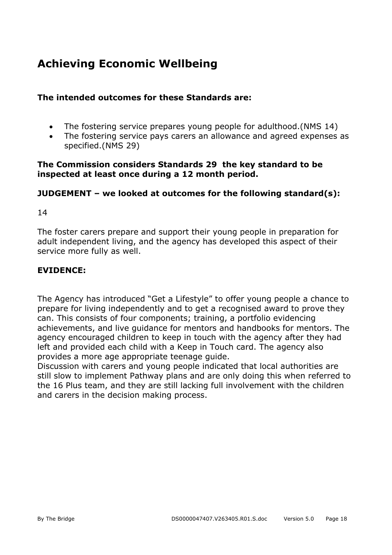## **Achieving Economic Wellbeing**

#### **The intended outcomes for these Standards are:**

- The fostering service prepares young people for adulthood.(NMS 14)
- The fostering service pays carers an allowance and agreed expenses as specified.(NMS 29)

#### **The Commission considers Standards 29 the key standard to be inspected at least once during a 12 month period.**

#### **JUDGEMENT – we looked at outcomes for the following standard(s):**

14

The foster carers prepare and support their young people in preparation for adult independent living, and the agency has developed this aspect of their service more fully as well.

#### **EVIDENCE:**

The Agency has introduced "Get a Lifestyle" to offer young people a chance to prepare for living independently and to get a recognised award to prove they can. This consists of four components; training, a portfolio evidencing achievements, and live guidance for mentors and handbooks for mentors. The agency encouraged children to keep in touch with the agency after they had left and provided each child with a Keep in Touch card. The agency also provides a more age appropriate teenage guide.

Discussion with carers and young people indicated that local authorities are still slow to implement Pathway plans and are only doing this when referred to the 16 Plus team, and they are still lacking full involvement with the children and carers in the decision making process.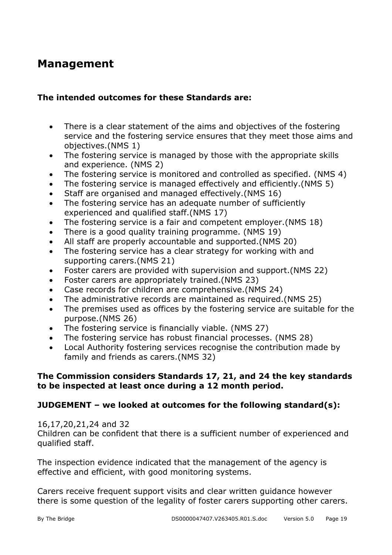### **Management**

#### **The intended outcomes for these Standards are:**

- There is a clear statement of the aims and objectives of the fostering service and the fostering service ensures that they meet those aims and objectives.(NMS 1)
- The fostering service is managed by those with the appropriate skills and experience. (NMS 2)
- The fostering service is monitored and controlled as specified. (NMS 4)
- The fostering service is managed effectively and efficiently.(NMS 5)
- Staff are organised and managed effectively.(NMS 16)
- The fostering service has an adequate number of sufficiently experienced and qualified staff.(NMS 17)
- The fostering service is a fair and competent employer.(NMS 18)
- There is a good quality training programme. (NMS 19)
- All staff are properly accountable and supported.(NMS 20)
- The fostering service has a clear strategy for working with and supporting carers.(NMS 21)
- Foster carers are provided with supervision and support.(NMS 22)
- Foster carers are appropriately trained.(NMS 23)
- Case records for children are comprehensive.(NMS 24)
- The administrative records are maintained as required.(NMS 25)
- The premises used as offices by the fostering service are suitable for the purpose.(NMS 26)
- The fostering service is financially viable. (NMS 27)
- The fostering service has robust financial processes. (NMS 28)
- Local Authority fostering services recognise the contribution made by family and friends as carers.(NMS 32)

#### **The Commission considers Standards 17, 21, and 24 the key standards to be inspected at least once during a 12 month period.**

#### **JUDGEMENT – we looked at outcomes for the following standard(s):**

#### 16,17,20,21,24 and 32

Children can be confident that there is a sufficient number of experienced and qualified staff.

The inspection evidence indicated that the management of the agency is effective and efficient, with good monitoring systems.

Carers receive frequent support visits and clear written guidance however there is some question of the legality of foster carers supporting other carers.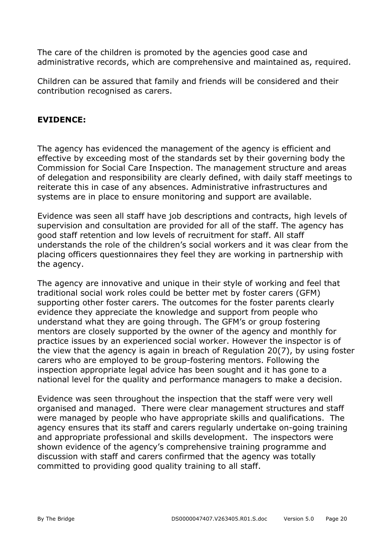The care of the children is promoted by the agencies good case and administrative records, which are comprehensive and maintained as, required.

Children can be assured that family and friends will be considered and their contribution recognised as carers.

#### **EVIDENCE:**

The agency has evidenced the management of the agency is efficient and effective by exceeding most of the standards set by their governing body the Commission for Social Care Inspection. The management structure and areas of delegation and responsibility are clearly defined, with daily staff meetings to reiterate this in case of any absences. Administrative infrastructures and systems are in place to ensure monitoring and support are available.

Evidence was seen all staff have job descriptions and contracts, high levels of supervision and consultation are provided for all of the staff. The agency has good staff retention and low levels of recruitment for staff. All staff understands the role of the children's social workers and it was clear from the placing officers questionnaires they feel they are working in partnership with the agency.

The agency are innovative and unique in their style of working and feel that traditional social work roles could be better met by foster carers (GFM) supporting other foster carers. The outcomes for the foster parents clearly evidence they appreciate the knowledge and support from people who understand what they are going through. The GFM's or group fostering mentors are closely supported by the owner of the agency and monthly for practice issues by an experienced social worker. However the inspector is of the view that the agency is again in breach of Regulation 20(7), by using foster carers who are employed to be group-fostering mentors. Following the inspection appropriate legal advice has been sought and it has gone to a national level for the quality and performance managers to make a decision.

Evidence was seen throughout the inspection that the staff were very well organised and managed. There were clear management structures and staff were managed by people who have appropriate skills and qualifications. The agency ensures that its staff and carers regularly undertake on-going training and appropriate professional and skills development. The inspectors were shown evidence of the agency's comprehensive training programme and discussion with staff and carers confirmed that the agency was totally committed to providing good quality training to all staff.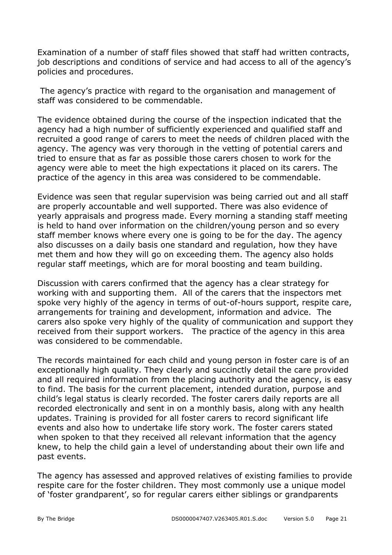Examination of a number of staff files showed that staff had written contracts, job descriptions and conditions of service and had access to all of the agency's policies and procedures.

 The agency's practice with regard to the organisation and management of staff was considered to be commendable.

The evidence obtained during the course of the inspection indicated that the agency had a high number of sufficiently experienced and qualified staff and recruited a good range of carers to meet the needs of children placed with the agency. The agency was very thorough in the vetting of potential carers and tried to ensure that as far as possible those carers chosen to work for the agency were able to meet the high expectations it placed on its carers. The practice of the agency in this area was considered to be commendable.

Evidence was seen that regular supervision was being carried out and all staff are properly accountable and well supported. There was also evidence of yearly appraisals and progress made. Every morning a standing staff meeting is held to hand over information on the children/young person and so every staff member knows where every one is going to be for the day. The agency also discusses on a daily basis one standard and regulation, how they have met them and how they will go on exceeding them. The agency also holds regular staff meetings, which are for moral boosting and team building.

Discussion with carers confirmed that the agency has a clear strategy for working with and supporting them. All of the carers that the inspectors met spoke very highly of the agency in terms of out-of-hours support, respite care, arrangements for training and development, information and advice. The carers also spoke very highly of the quality of communication and support they received from their support workers. The practice of the agency in this area was considered to be commendable.

The records maintained for each child and young person in foster care is of an exceptionally high quality. They clearly and succinctly detail the care provided and all required information from the placing authority and the agency, is easy to find. The basis for the current placement, intended duration, purpose and child's legal status is clearly recorded. The foster carers daily reports are all recorded electronically and sent in on a monthly basis, along with any health updates. Training is provided for all foster carers to record significant life events and also how to undertake life story work. The foster carers stated when spoken to that they received all relevant information that the agency knew, to help the child gain a level of understanding about their own life and past events.

The agency has assessed and approved relatives of existing families to provide respite care for the foster children. They most commonly use a unique model of 'foster grandparent', so for regular carers either siblings or grandparents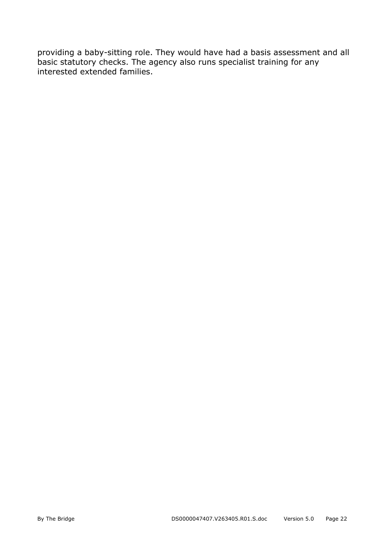providing a baby-sitting role. They would have had a basis assessment and all basic statutory checks. The agency also runs specialist training for any interested extended families.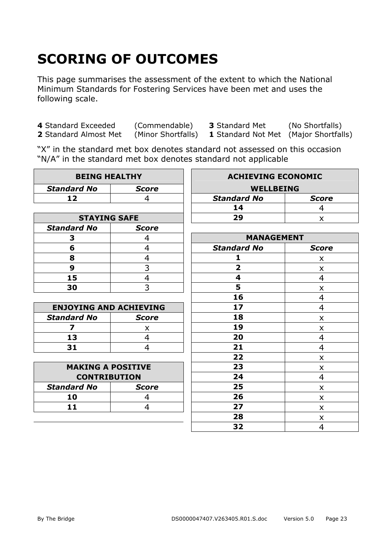# **SCORING OF OUTCOMES**

This page summarises the assessment of the extent to which the National Minimum Standards for Fostering Services have been met and uses the following scale.

**4** Standard Exceeded (Commendable) **3** Standard Met (No Shortfalls) **2** Standard Almost Met (Minor Shortfalls) **1** Standard Not Met (Maior Shortfalls)

**1** Standard Not Met (Major Shortfalls)

"X" in the standard met box denotes standard not assessed on this occasion "N/A" in the standard met box denotes standard not applicable

| <b>BEING HEALTHY</b>          |                | <b>ACHIEVING ECONOMIC</b> |                |
|-------------------------------|----------------|---------------------------|----------------|
| <b>Standard No</b>            | <b>Score</b>   | <b>WELLBEING</b>          |                |
| 12                            | 4              | <b>Standard No</b>        | <b>Score</b>   |
|                               |                | 14                        | 4              |
| <b>STAYING SAFE</b>           |                | 29                        | X              |
| <b>Standard No</b>            | <b>Score</b>   |                           |                |
| 3                             | 4              | <b>MANAGEMENT</b>         |                |
| 6                             | $\overline{4}$ | <b>Standard No</b>        | <b>Score</b>   |
| 8                             | 4              | 1                         | X              |
| 9                             | 3              | $\overline{\mathbf{2}}$   | X              |
| 15                            | $\overline{4}$ | $\overline{\mathbf{4}}$   | 4              |
| 30                            | 3              | 5                         | X              |
|                               |                | 16                        | 4              |
| <b>ENJOYING AND ACHIEVING</b> |                | 17                        | $\overline{4}$ |
| <b>Standard No</b>            | <b>Score</b>   | 18                        | X              |
| $\overline{\mathbf{z}}$       | X              | 19                        | X              |
| 13                            | $\overline{4}$ | 20                        | 4              |
| 31                            | 4              | 21                        | 4              |
|                               |                | 22                        | X              |
| <b>MAKING A POSITIVE</b>      |                | 23                        | X              |
| <b>CONTRIBUTION</b>           |                | 24                        | 4              |
| <b>Standard No</b>            | <b>Score</b>   | 25                        | X              |
| 10                            | 4              | 26                        | X              |
| 11                            | $\overline{4}$ | 27                        | X              |
|                               |                | 28                        | X              |
|                               |                | 32                        | 4              |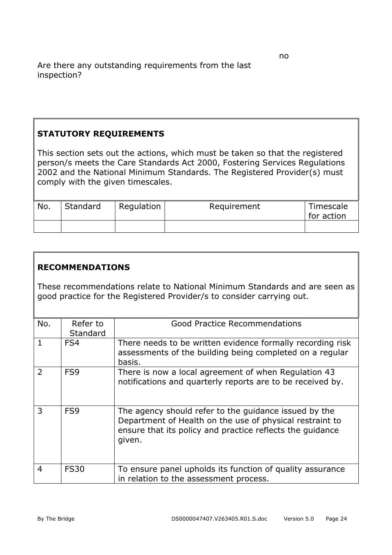#### **STATUTORY REQUIREMENTS**

This section sets out the actions, which must be taken so that the registered person/s meets the Care Standards Act 2000, Fostering Services Regulations 2002 and the National Minimum Standards. The Registered Provider(s) must comply with the given timescales.

| No. | Standard | Regulation | Requirement | Timescale<br>for action |
|-----|----------|------------|-------------|-------------------------|
|     |          |            |             |                         |

#### **RECOMMENDATIONS**

These recommendations relate to National Minimum Standards and are seen as good practice for the Registered Provider/s to consider carrying out.

| No.            | Refer to<br>Standard | Good Practice Recommendations                                                                                                                                                            |
|----------------|----------------------|------------------------------------------------------------------------------------------------------------------------------------------------------------------------------------------|
| $\mathbf{1}$   | FS4                  | There needs to be written evidence formally recording risk<br>assessments of the building being completed on a regular<br>basis.                                                         |
| $\overline{2}$ | FS <sub>9</sub>      | There is now a local agreement of when Regulation 43<br>notifications and quarterly reports are to be received by.                                                                       |
| 3              | FS <sub>9</sub>      | The agency should refer to the guidance issued by the<br>Department of Health on the use of physical restraint to<br>ensure that its policy and practice reflects the quidance<br>given. |
| $\overline{4}$ | <b>FS30</b>          | To ensure panel upholds its function of quality assurance<br>in relation to the assessment process.                                                                                      |